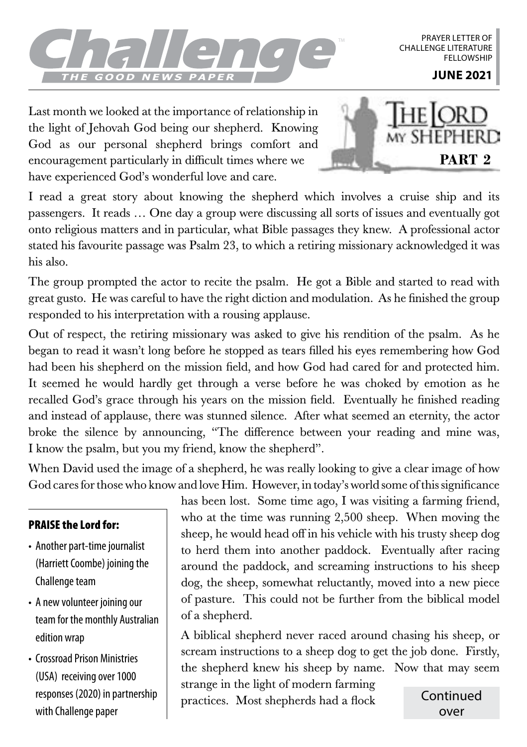

PRAYER LETTER OF CHALLENGE LITERATURE **FFLLOWSHIP** 

Last month we looked at the importance of relationship in the light of Jehovah God being our shepherd. Knowing God as our personal shepherd brings comfort and encouragement particularly in difficult times where we have experienced God's wonderful love and care.



I read a great story about knowing the shepherd which involves a cruise ship and its passengers. It reads … One day a group were discussing all sorts of issues and eventually got onto religious matters and in particular, what Bible passages they knew. A professional actor stated his favourite passage was Psalm 23, to which a retiring missionary acknowledged it was his also.

The group prompted the actor to recite the psalm. He got a Bible and started to read with great gusto. He was careful to have the right diction and modulation. As he finished the group responded to his interpretation with a rousing applause.

Out of respect, the retiring missionary was asked to give his rendition of the psalm. As he began to read it wasn't long before he stopped as tears filled his eyes remembering how God had been his shepherd on the mission field, and how God had cared for and protected him. It seemed he would hardly get through a verse before he was choked by emotion as he recalled God's grace through his years on the mission field. Eventually he finished reading and instead of applause, there was stunned silence. After what seemed an eternity, the actor broke the silence by announcing, "The difference between your reading and mine was, I know the psalm, but you my friend, know the shepherd".

When David used the image of a shepherd, he was really looking to give a clear image of how God cares for those who know and love Him. However, in today's world some of this significance

## PRAISE the Lord for:

- Another part-time journalist (Harriett Coombe) joining the Challenge team
- A new volunteer joining our team for the monthly Australian edition wrap
- Crossroad Prison Ministries (USA) receiving over 1000 responses (2020) in partnership with Challenge paper

has been lost. Some time ago, I was visiting a farming friend, who at the time was running 2,500 sheep. When moving the sheep, he would head off in his vehicle with his trusty sheep dog to herd them into another paddock. Eventually after racing around the paddock, and screaming instructions to his sheep dog, the sheep, somewhat reluctantly, moved into a new piece of pasture. This could not be further from the biblical model of a shepherd.

A biblical shepherd never raced around chasing his sheep, or scream instructions to a sheep dog to get the job done. Firstly, the shepherd knew his sheep by name. Now that may seem

strange in the light of modern farming practices. Most shepherds had a flock Continued

over